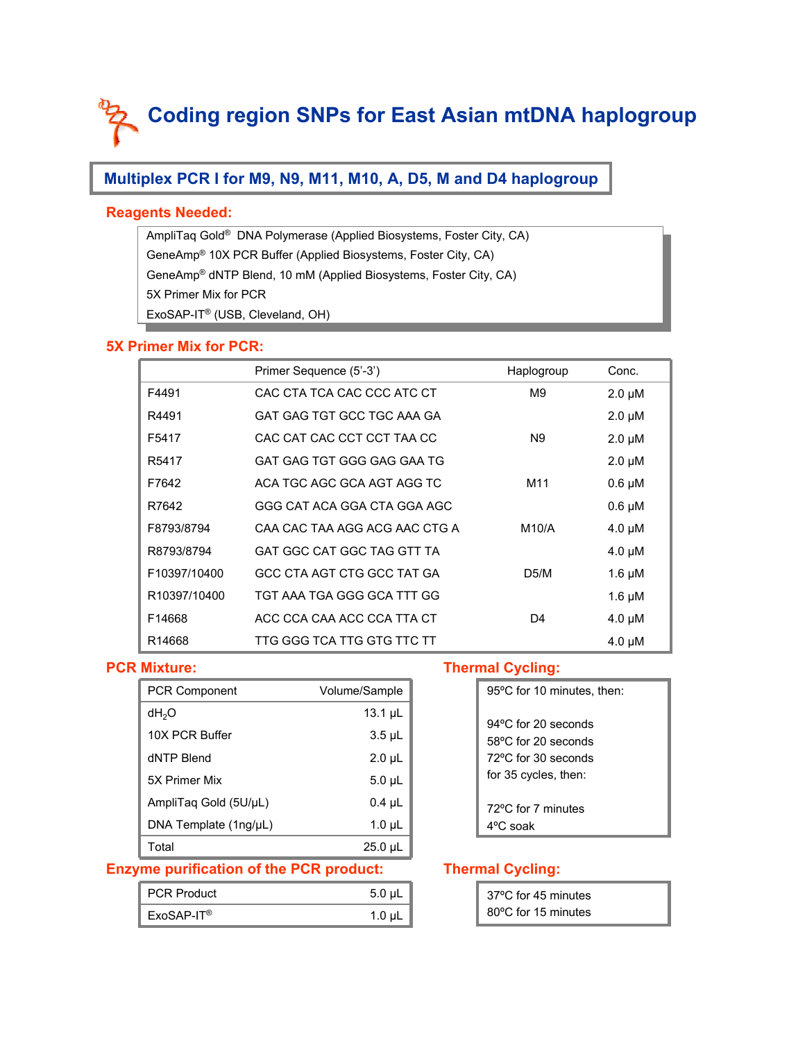## **Multiplex PCR I for M9, N9, M11, M10, A, D5, M and D4 haplogroup**

#### **Reagents Needed:**

AmpliTaq Gold® DNA Polymerase (Applied Biosystems, Foster City, CA) AmpliTaq Gold® DNA Polymerase (Applied Biosystems, Foster City, CA) GeneAmp® 10X PCR Buffer (Applied Biosystems, Foster City, CA) GeneAmp® 10X PCR Buffer (Applied Biosystems, Foster City, CA) GeneAmp® dNTP Blend, 10 mM (Applied Biosystems, Foster City, CA) GeneAmp® dNTP Blend, 10 mM (Applied Biosystems, Foster City, CA)  $\frac{1}{2}$  Primer Mix for PCR ExoSAP-IT® (USB, Cleveland, OH) ExoSAP-IT® (USB, Cleveland, OH) 5X Primer Mix for PCR

#### **5X Primer Mix for PCR:**

|                   | Primer Sequence (5'-3')       | Haplogroup     | Conc.       |
|-------------------|-------------------------------|----------------|-------------|
| F4491             | CAC CTA TCA CAC CCC ATC CT    | M <sub>9</sub> | $2.0 \mu M$ |
| R4491             | GAT GAG TGT GCC TGC AAA GA    |                | $2.0 \mu M$ |
| F5417             | CAC CAT CAC CCT CCT TAA CC    | N <sub>9</sub> | $2.0 \mu M$ |
| R <sub>5417</sub> | GAT GAG TGT GGG GAG GAA TG    |                | $2.0 \mu M$ |
| F7642             | ACA TGC AGC GCA AGT AGG TC    | M11            | $0.6 \mu M$ |
| R7642             | GGG CAT ACA GGA CTA GGA AGC   |                | $0.6 \mu M$ |
| F8793/8794        | CAA CAC TAA AGG ACG AAC CTG A | M10/A          | $4.0 \mu M$ |
| R8793/8794        | GAT GGC CAT GGC TAG GTT TA    |                | 4.0 µM      |
| F10397/10400      | GCC CTA AGT CTG GCC TAT GA    | D5/M           | $1.6 \mu M$ |
| R10397/10400      | TGT AAA TGA GGG GCA TTT GG    |                | 1.6 $\mu$ M |
| F14668            | ACC CCA CAA ACC CCA TTA CT    | D4             | $4.0 \mu M$ |
| R14668            | TTG GGG TCA TTG GTG TTC TT    |                | 4.0 µM      |

#### **PCR Mixture:**

| <b>PCR Component</b>    | Volume/Sample |
|-------------------------|---------------|
| dH <sub>2</sub> O       | $13.1 \mu L$  |
| 10X PCR Buffer          | $3.5 \mu L$   |
| dNTP Blend              | $2.0 \mu L$   |
| 5X Primer Mix           | $5.0 \mu L$   |
| AmpliTag Gold (5U/µL)   | $0.4 \mu L$   |
| DNA Template $(1ng/µL)$ | $1.0 \mu L$   |
| Total                   | $25.0 \mu L$  |

#### **Thermal Cycling:**

| 95°C for 10 minutes, then:                                                  |
|-----------------------------------------------------------------------------|
| $94^{\circ}$ C for 20 seconds<br>58°C for 20 seconds<br>72°C for 30 seconds |
| for 35 cycles, then:                                                        |
| 72°C for 7 minutes<br>4°C soak                                              |

#### **Enzyme purification of the PCR product:**

| <b>PCR Product</b> | $5.0 \mu L$ |
|--------------------|-------------|
| $ExoSAP-IT®$       | 1.0 $\mu$ L |

| 37°C for 45 minutes |  |
|---------------------|--|
| 80°C for 15 minutes |  |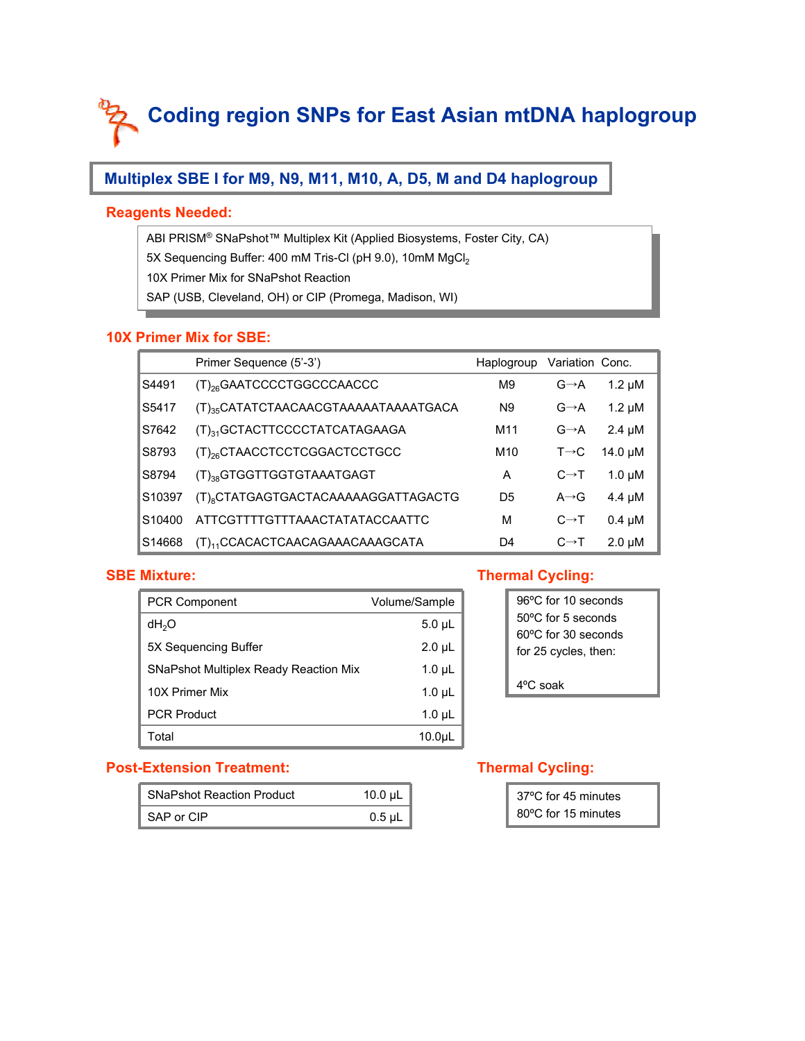## **Multiplex SBE I for M9, N9, M11, M10, A, D5, M and D4 haplogroup**

#### **Reagents Needed:**

ABI PRISM® SNaPshot™ Multiplex Kit (Applied Biosystems, Foster City, CA) ABI PRISM® SNaPshot™ Multiplex Kit (Applied Biosystems, Foster City, CA) 5X Sequencing Buffer: 400 mM Tris-Cl (pH 9.0), 10mM MgCl2 5X Sequencing Buffer: 400 mM Tris-Cl (pH 9.0), 10mM MgCl2 10X Primer Mix for SNaPshot Reaction SAP (USB, Cleveland, OH) or CIP (Promega, Madison, WI) SAP (USB, Cleveland, OH) or CIP (Promega, Madison, WI) 10X Primer Mix for SNaPshot Reaction

#### **10X Primer Mix for SBE:**

|                    | Primer Sequence (5'-3')                          | Haplogroup      | Variation Conc.   |              |
|--------------------|--------------------------------------------------|-----------------|-------------------|--------------|
| S4491              | (T) <sub>26</sub> GAATCCCCTGGCCCAACCC            | M <sub>9</sub>  | $G \rightarrow A$ | $1.2 \mu M$  |
| S5417              | (T) <sub>35</sub> CATATCTAACAACGTAAAAATAAAATGACA | N <sub>9</sub>  | $G \rightarrow A$ | $1.2 \mu M$  |
| S7642              | (T) <sub>31</sub> GCTACTTCCCCTATCATAGAAGA        | M <sub>11</sub> | $G \rightarrow A$ | $2.4 \mu M$  |
| S8793              | (T) <sub>26</sub> CTAACCTCCTCGGACTCCTGCC         | M10             | $T\rightarrow C$  | $14.0 \mu M$ |
| S8794              | (T) <sub>38</sub> GTGGTTGGTGTAAATGAGT            | A               | $C \rightarrow T$ | $1.0 \mu M$  |
| S10397             | (T) <sub>8</sub> CTATGAGTGACTACAAAAAGGATTAGACTG  | D5              | $A \rightarrow G$ | $4.4 \mu M$  |
| S <sub>10400</sub> | ATTCGTTTTGTTTAAACTATATACCAATTC                   | м               | $C \rightarrow T$ | $0.4 \mu M$  |
| S <sub>14668</sub> | (T) <sub>11</sub> CCACACTCAACAGAAACAAAGCATA      | D4              | $C \rightarrow T$ | $2.0 \mu M$  |

#### **SBE Mixture:**

| <b>PCR Component</b>                         | Volume/Sample     | 96°C for 10 seconds                         |
|----------------------------------------------|-------------------|---------------------------------------------|
| dH <sub>2</sub> O                            | $5.0 \mu L$       | 50°C for 5 seconds                          |
| 5X Sequencing Buffer                         | $2.0 \mu L$       | 60°C for 30 seconds<br>for 25 cycles, then: |
| <b>SNaPshot Multiplex Ready Reaction Mix</b> | $1.0 \mu L$       |                                             |
| 10X Primer Mix                               | $1.0 \mu L$       | $4^{\circ}$ C soak                          |
| <b>PCR Product</b>                           | $1.0 \mu L$       |                                             |
| Total                                        | 10.0 <sub>µ</sub> |                                             |

#### **Thermal Cycling:**

| 96°C for 10 seconds          |
|------------------------------|
| $50^{\circ}$ C for 5 seconds |
| 60°C for 30 seconds          |
| for 25 cycles, then:         |
|                              |
| $4^{\circ}$ C soak           |
|                              |

#### **Post-Extension Treatment:**

| <b>SNaPshot Reaction Product</b> | 10.0 $\mu$ L |
|----------------------------------|--------------|
| SAP or CIP                       | $0.5 \mu L$  |

| 37°C for 45 minutes |  |
|---------------------|--|
| 80°C for 15 minutes |  |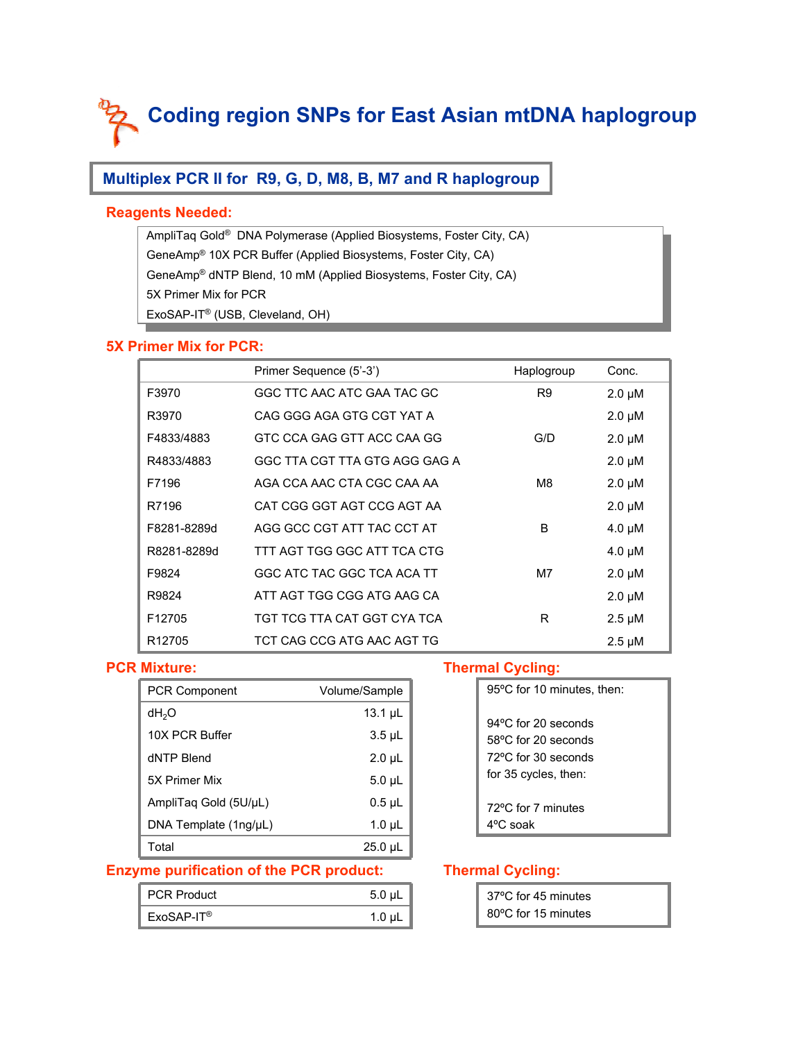## **Multiplex PCR II for R9, G, D, M8, B, M7 and R haplogroup**

#### **Reagents Needed:**

AmpliTaq Gold® DNA Polymerase (Applied Biosystems, Foster City, CA) AmpliTaq Gold® DNA Polymerase (Applied Biosystems, Foster City, CA) GeneAmp® 10X PCR Buffer (Applied Biosystems, Foster City, CA) GeneAmp® 10X PCR Buffer (Applied Biosystems, Foster City, CA) GeneAmp® dNTP Blend, 10 mM (Applied Biosystems, Foster City, CA) GeneAmp® dNTP Blend, 10 mM (Applied Biosystems, Foster City, CA)  $\frac{1}{2}$  Primer Mix for PCR ExoSAP-IT® (USB, Cleveland, OH) ExoSAP-IT® (USB, Cleveland, OH) 5X Primer Mix for PCR

#### **5X Primer Mix for PCR:**

|                    | Primer Sequence (5'-3')       | Haplogroup     | Conc.       |
|--------------------|-------------------------------|----------------|-------------|
| F3970              | GGC TTC AAC ATC GAA TAC GC    | R <sub>9</sub> | $2.0 \mu M$ |
| R3970              | CAG GGG AGA GTG CGT YAT A     |                | $2.0 \mu M$ |
| F4833/4883         | GTC CCA GAG GTT ACC CAA GG    | G/D            | $2.0 \mu M$ |
| R4833/4883         | GGC TTA CGT TTA GTG AGG GAG A |                | $2.0 \mu M$ |
| F7196              | AGA CCA AAC CTA CGC CAA AA    | M8             | $2.0 \mu M$ |
| R7196              | CAT CGG GGT AGT CCG AGT AA    |                | $2.0 \mu M$ |
| F8281-8289d        | AGG GCC CGT ATT TAC CCT AT    | B              | $4.0 \mu M$ |
| R8281-8289d        | TTT AGT TGG GGC ATT TCA CTG   |                | $4.0 \mu M$ |
| F9824              | GGC ATC TAC GGC TCA ACA TT    | M7             | $2.0 \mu M$ |
| R9824              | ATT AGT TGG CGG ATG AAG CA    |                | $2.0 \mu M$ |
| F <sub>12705</sub> | TGT TCG TTA CAT GGT CYA TCA   | R              | $2.5 \mu M$ |
| R <sub>12705</sub> | TCT CAG CCG ATG AAC AGT TG    |                | $2.5 \mu M$ |

#### **PCR Mixture:**

| <b>PCR Component</b>  | Volume/Sample |
|-----------------------|---------------|
| dH <sub>2</sub> O     | $13.1 \mu L$  |
| 10X PCR Buffer        | $3.5 \mu L$   |
| dNTP Blend            | $2.0 \mu L$   |
| 5X Primer Mix         | $5.0 \mu L$   |
| AmpliTag Gold (5U/µL) | $0.5$ µL      |
| DNA Template (1ng/µL) | $1.0 \mu L$   |
| Total                 | $25.0 \mu L$  |

#### **Thermal Cycling:**

| 95°C for 10 minutes, then:    |
|-------------------------------|
| 94 $\degree$ C for 20 seconds |
| 58°C for 20 seconds           |
| $72^{\circ}$ C for 30 seconds |
| for 35 cycles, then:          |
|                               |
| 72°C for 7 minutes            |
| 4ºC soak                      |

#### **Enzyme purification of the PCR product:**

| <b>PCR Product</b> | $5.0 \mu L$ |
|--------------------|-------------|
| $ExoSAP-IT®$       | $1.0 \mu L$ |

| 37°C for 45 minutes |  |
|---------------------|--|
| 80°C for 15 minutes |  |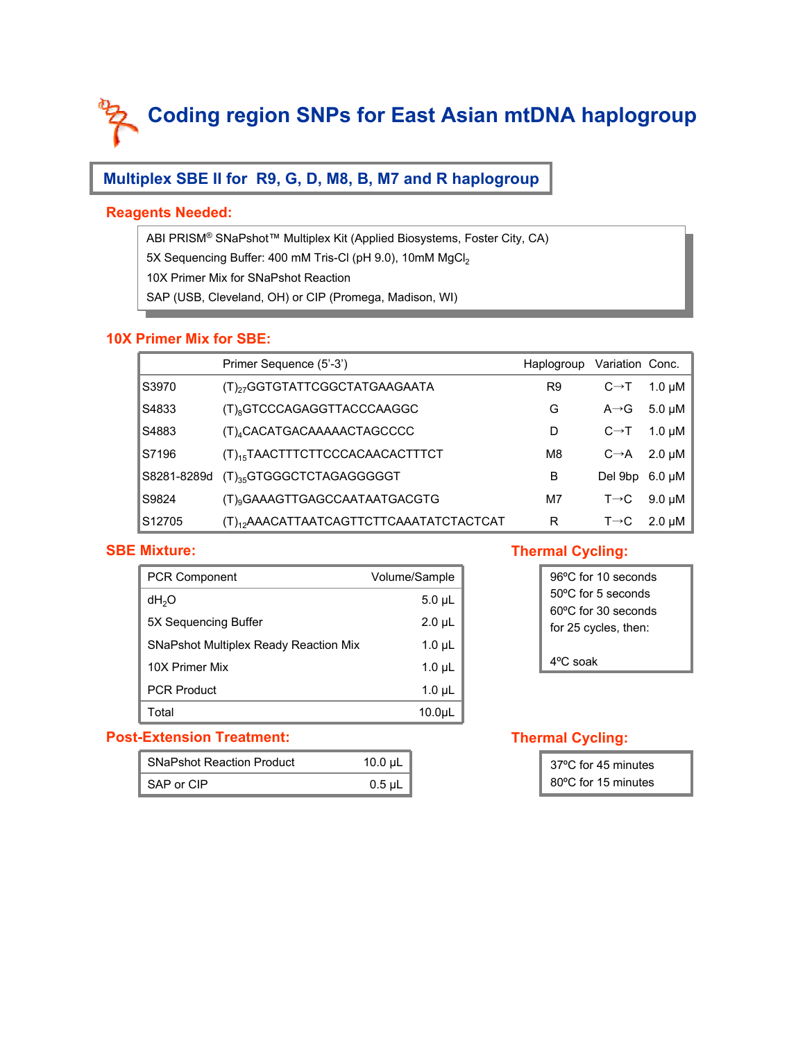## **Multiplex SBE II for R9, G, D, M8, B, M7 and R haplogroup**

#### **Reagents Needed:**

ABI PRISM® SNaPshot™ Multiplex Kit (Applied Biosystems, Foster City, CA) ABI PRISM® SNaPshot™ Multiplex Kit (Applied Biosystems, Foster City, CA) 5X Sequencing Buffer: 400 mM Tris-Cl (pH 9.0), 10mM MgCl2 5X Sequencing Buffer: 400 mM Tris-Cl (pH 9.0), 10mM MgCl2 10X Primer Mix for SNaPshot Reaction SAP (USB, Cleveland, OH) or CIP (Promega, Madison, WI) SAP (USB, Cleveland, OH) or CIP (Promega, Madison, WI) 10X Primer Mix for SNaPshot Reaction

#### **10X Primer Mix for SBE:**

|             | Primer Sequence (5'-3')                             | Haplogroup     | Variation Conc.   |                          |
|-------------|-----------------------------------------------------|----------------|-------------------|--------------------------|
| S3970       | (T) <sub>27</sub> GGTGTATTCGGCTATGAAGAATA           | R <sub>9</sub> | $C \rightarrow T$ | $1.0 \mu M$              |
| S4833       | (T) <sub>8</sub> GTCCCAGAGGTTACCCAAGGC              | G              | $A \rightarrow G$ | 5.0 $\mu$ M              |
| S4883       | (T) <sub>4</sub> CACATGACAAAAACTAGCCCC              | D              | $C \rightarrow T$ | 1.0 $\mu$ M              |
| S7196       | (T) <sub>15</sub> TAACTTTCTTCCCACAACACTTTCT         | M <sub>8</sub> |                   | $C \rightarrow A$ 2.0 µM |
| S8281-8289d | (T) <sub>35</sub> GTGGGCTCTAGAGGGGGT                | B              | Del 9bp 6.0 µM    |                          |
| S9824       | (T) <sub>9</sub> GAAAGTTGAGCCAATAATGACGTG           | M7             | $T\rightarrow C$  | 9.0 µM                   |
| S12705      | (T) <sub>12</sub> AAACATTAATCAGTTCTTCAAATATCTACTCAT | R              | $T\rightarrow C$  | $2.0 \mu M$              |

#### **SBE Mixture:**

| <b>PCR Component</b>                         | Volume/Sample     |  |
|----------------------------------------------|-------------------|--|
| dH <sub>2</sub> O                            | $5.0 \mu L$       |  |
| 5X Sequencing Buffer                         | $2.0 \mu L$       |  |
| <b>SNaPshot Multiplex Ready Reaction Mix</b> | $1.0 \mu L$       |  |
| 10X Primer Mix                               | $1.0 \mu L$       |  |
| <b>PCR Product</b>                           | $1.0 \mu L$       |  |
| Total                                        | 10.0 <sub>µ</sub> |  |

#### **Post-Extension Treatment:**

| <b>SNaPshot Reaction Product</b> | 10.0 $\mu$ L |
|----------------------------------|--------------|
| SAP or CIP                       | $0.5 \mu L$  |

#### **Thermal Cycling:**

| 96°C for 10 seconds           |
|-------------------------------|
| $50^{\circ}$ C for 5 seconds  |
| $60^{\circ}$ C for 30 seconds |
| for 25 cycles, then:          |
|                               |
| $4^{\circ}$ C soak            |

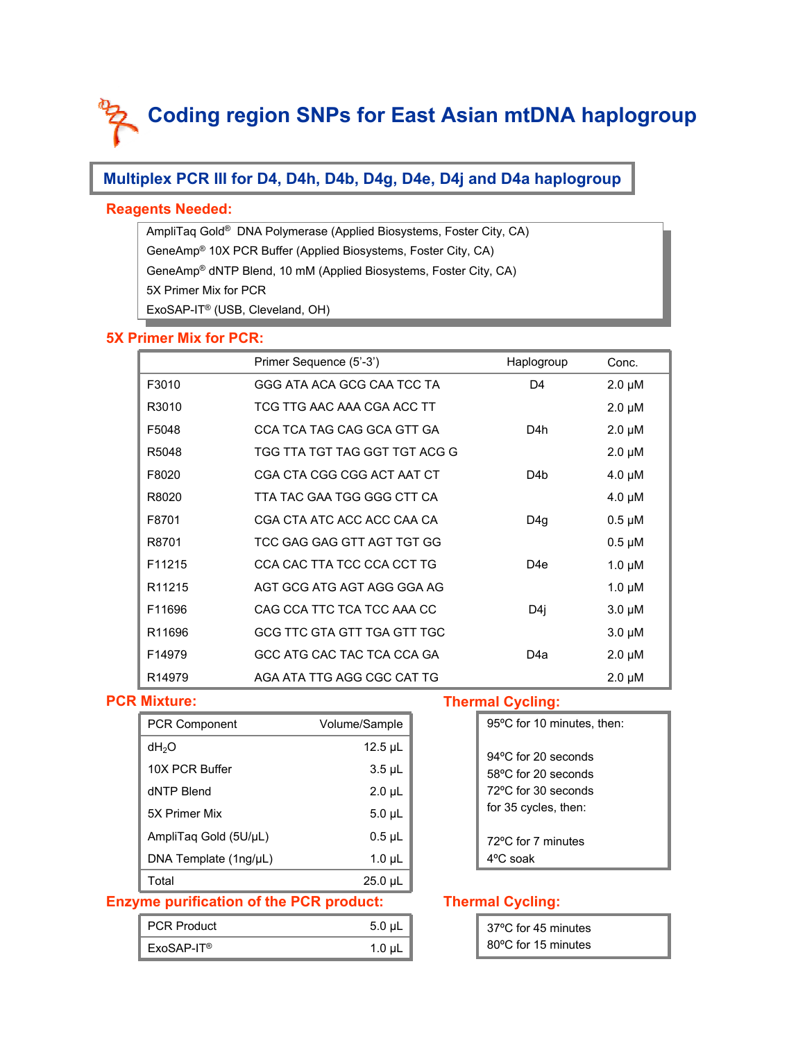## **Multiplex PCR III for D4, D4h, D4b, D4g, D4e, D4j and D4a haplogroup**

#### **Reagents Needed:**

AmpliTaq Gold® DNA Polymerase (Applied Biosystems, Foster City, CA) AmpliTaq Gold® DNA Polymerase (Applied Biosystems, Foster City, CA) GeneAmp® 10X PCR Buffer (Applied Biosystems, Foster City, CA) GeneAmp® 10X PCR Buffer (Applied Biosystems, Foster City, CA) GeneAmp® dNTP Blend, 10 mM (Applied Biosystems, Foster City, CA) GeneAmp® dNTP Blend, 10 mM (Applied Biosystems, Foster City, CA)  $\frac{1}{2}$  Primer Mix for PCR ExoSAP-IT® (USB, Cleveland, OH) ExoSAP-IT® (USB, Cleveland, OH) 5X Primer Mix for PCR

#### **5X Primer Mix for PCR:**

|                    | Primer Sequence (5'-3')       | Haplogroup | Conc.       |
|--------------------|-------------------------------|------------|-------------|
| F3010              | GGG ATA ACA GCG CAA TCC TA    | D4         | $2.0 \mu M$ |
| R3010              | TCG TTG AAC AAA CGA ACC TT    |            | $2.0 \mu M$ |
| F5048              | CCA TCA TAG CAG GCA GTT GA    | D4h        | $2.0 \mu M$ |
| R5048              | TGG TTA TGT TAG GGT TGT ACG G |            | $2.0 \mu M$ |
| F8020              | CGA CTA CGG CGG ACT AAT CT    | D4b        | $4.0 \mu M$ |
| R8020              | TTA TAC GAA TGG GGG CTT CA    |            | $4.0 \mu M$ |
| F8701              | CGA CTA ATC ACC ACC CAA CA    | D4q        | $0.5 \mu M$ |
| R8701              | TCC GAG GAG GTT AGT TGT GG    |            | $0.5 \mu M$ |
| F11215             | CCA CAC TTA TCC CCA CCT TG    | D4e        | $1.0 \mu M$ |
| R <sub>11215</sub> | AGT GCG ATG AGT AGG GGA AG    |            | $1.0 \mu M$ |
| F11696             | CAG CCA TTC TCA TCC AAA CC    | D4j        | $3.0 \mu M$ |
| R11696             | GCG TTC GTA GTT TGA GTT TGC   |            | $3.0 \mu M$ |
| F14979             | GCC ATG CAC TAC TCA CCA GA    | D4a        | $2.0 \mu M$ |
| R <sub>14979</sub> | AGA ATA TTG AGG CGC CAT TG    |            | $2.0 \mu M$ |

#### **PCR Mixture:**

| <b>PCR Component</b>    | Volume/Sample |
|-------------------------|---------------|
| dH <sub>2</sub> O       | $12.5$ µL     |
| 10X PCR Buffer          | $3.5 \mu L$   |
| dNTP Blend              | $2.0 \mu L$   |
| 5X Primer Mix           | $5.0 \mu L$   |
| AmpliTag Gold (5U/µL)   | $0.5$ µL      |
| DNA Template $(1ng/µL)$ | $1.0 \mu L$   |
| Total                   | $25.0 \mu L$  |

#### **Enzyme purification of the PCR product:**

| <b>PCR Product</b> | $5.0 \mu L$ |
|--------------------|-------------|
| $ExoSAP-IT®$       | 1.0 $\mu$ L |

#### **Thermal Cycling:**

| 95°C for 10 minutes, then:                                                  |
|-----------------------------------------------------------------------------|
| $94^{\circ}$ C for 20 seconds<br>58°C for 20 seconds<br>72°C for 30 seconds |
| for 35 cycles, then:<br>72°C for 7 minutes<br>$4^{\circ}$ C soak            |
|                                                                             |

| 37°C for 45 minutes |  |
|---------------------|--|
| 80°C for 15 minutes |  |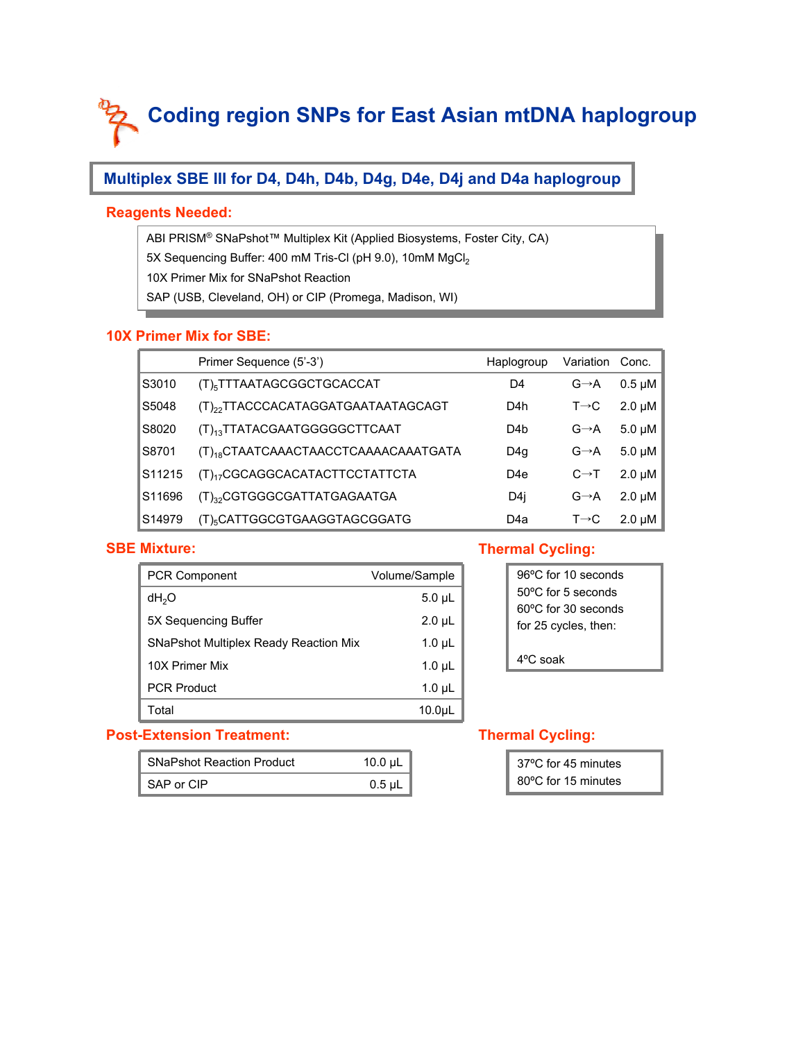## **Multiplex SBE III for D4, D4h, D4b, D4g, D4e, D4j and D4a haplogroup**

#### **Reagents Needed:**

ABI PRISM® SNaPshot™ Multiplex Kit (Applied Biosystems, Foster City, CA) ABI PRISM® SNaPshot™ Multiplex Kit (Applied Biosystems, Foster City, CA) 5X Sequencing Buffer: 400 mM Tris-Cl (pH 9.0), 10mM MgCl2 5X Sequencing Buffer: 400 mM Tris-Cl (pH 9.0), 10mM MgCl2 10X Primer Mix for SNaPshot Reaction SAP (USB, Cleveland, OH) or CIP (Promega, Madison, WI) SAP (USB, Cleveland, OH) or CIP (Promega, Madison, WI) 10X Primer Mix for SNaPshot Reaction

#### **10X Primer Mix for SBE:**

|        | Primer Sequence (5'-3')                          | Haplogroup      | Variation         | Conc.       |
|--------|--------------------------------------------------|-----------------|-------------------|-------------|
| S3010  | (T) <sub>5</sub> TTTAATAGCGGCTGCACCAT            | D4              | $G \rightarrow A$ | $0.5 \mu M$ |
| S5048  | (T) <sub>22</sub> TTACCCACATAGGATGAATAATAGCAGT   | D4h             | $T\rightarrow C$  | $2.0 \mu M$ |
| S8020  | (T) <sub>13</sub> TTATACGAATGGGGGCTTCAAT         | D4 <sub>b</sub> | $G \rightarrow A$ | $5.0 \mu M$ |
| S8701  | (T) <sub>18</sub> CTAATCAAACTAACCTCAAAACAAATGATA | D4q             | $G \rightarrow A$ | $5.0 \mu M$ |
| S11215 | (T) <sub>17</sub> CGCAGGCACATACTTCCTATTCTA       | D <sub>4e</sub> | $C \rightarrow T$ | $2.0 \mu M$ |
| S11696 | (T) <sub>32</sub> CGTGGGCGATTATGAGAATGA          | D4i             | $G \rightarrow A$ | $2.0 \mu M$ |
| S14979 | (T) <sub>5</sub> CATTGGCGTGAAGGTAGCGGATG         | D4a             | $T\rightarrow C$  | $2.0 \mu M$ |

#### **SBE Mixture:**

| <b>PCR Component</b>                         | Volume/Sample |  |
|----------------------------------------------|---------------|--|
| dH <sub>2</sub> O                            | $5.0 \mu L$   |  |
| 5X Sequencing Buffer                         | $2.0 \mu L$   |  |
| <b>SNaPshot Multiplex Ready Reaction Mix</b> | $1.0 \mu L$   |  |
| 10X Primer Mix                               | $1.0 \mu L$   |  |
| <b>PCR Product</b>                           | $1.0 \mu L$   |  |
| Total                                        | 10.0µL        |  |

#### **Post-Extension Treatment:**

| <b>SNaPshot Reaction Product</b> | 10.0 $\mu$ L |  |
|----------------------------------|--------------|--|
| SAP or CIP                       | $0.5$ µL     |  |

#### **Thermal Cycling:**

| 96°C for 10 seconds           |
|-------------------------------|
| $50^{\circ}$ C for 5 seconds  |
| $60^{\circ}$ C for 30 seconds |
| for 25 cycles, then:          |
|                               |
| $4^{\circ}$ C soak            |

#### **Thermal Cycling:**

37ºC for 45 minutes 80ºC for 15 minutes